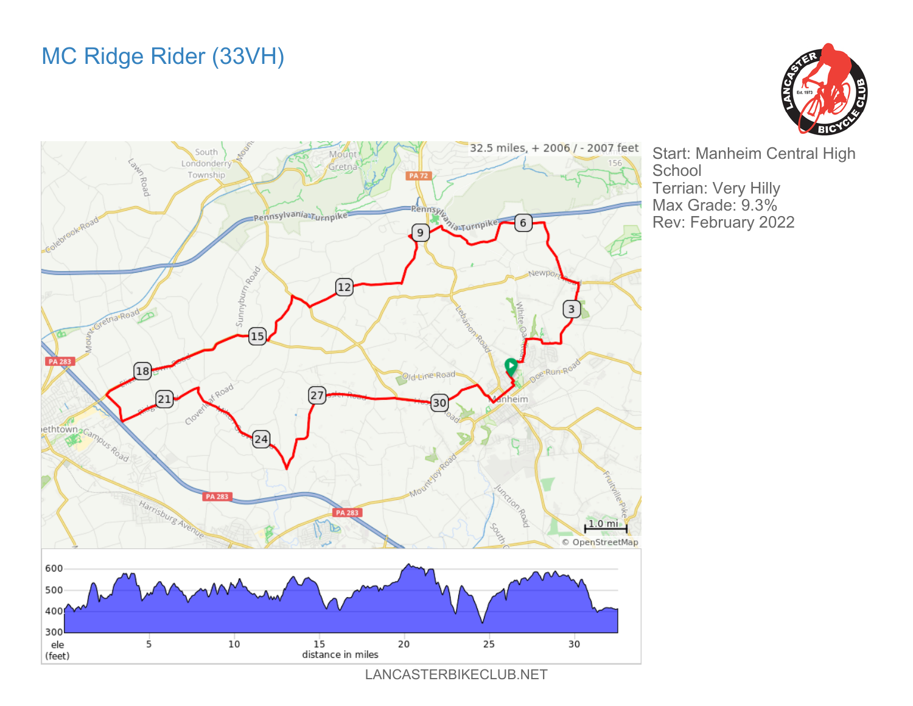



Start: Manheim Central High **School** Terrian: Very Hilly Max Grade: 9.3% Rev: February 2022

LANCASTERBIKECLUB.NET